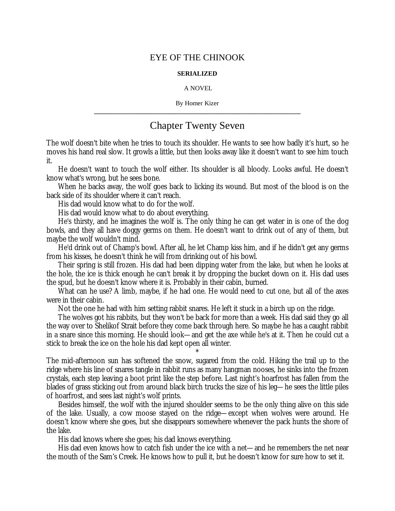## EYE OF THE CHINOOK

## **SERIALIZED**

## A NOVEL

By Homer Kizer **\_\_\_\_\_\_\_\_\_\_\_\_\_\_\_\_\_\_\_\_\_\_\_\_\_\_\_\_\_\_\_\_\_\_\_\_\_\_\_\_\_\_\_\_\_\_\_\_\_\_\_\_\_\_\_\_\_\_\_\_\_\_\_\_**

## Chapter Twenty Seven

The wolf doesn't bite when he tries to touch its shoulder. He wants to see how badly it's hurt, so he moves his hand real slow. It growls a little, but then looks away like it doesn't want to see him touch it.

He doesn't want to touch the wolf either. Its shoulder is all bloody. Looks awful. He doesn't know what's wrong, but he sees bone.

When he backs away, the wolf goes back to licking its wound. But most of the blood is on the back side of its shoulder where it can't reach.

His dad would know what to do for the wolf.

His dad would know what to do about everything.

He's thirsty, and he imagines the wolf is. The only thing he can get water in is one of the dog bowls, and they all have doggy germs on them. He doesn't want to drink out of any of them, but maybe the wolf wouldn't mind.

He'd drink out of Champ's bowl. After all, he let Champ kiss him, and if he didn't get any germs from his kisses, he doesn't think he will from drinking out of his bowl.

Their spring is still frozen. His dad had been dipping water from the lake, but when he looks at the hole, the ice is thick enough he can't break it by dropping the bucket down on it. His dad uses the spud, but he doesn't know where it is. Probably in their cabin, burned.

What can he use? A limb, maybe, if he had one. He would need to cut one, but all of the axes were in their cabin.

Not the one he had with him setting rabbit snares. He left it stuck in a birch up on the ridge.

The wolves got his rabbits, but they won't be back for more than a week. His dad said they go all the way over to Shelikof Strait before they come back through here. So maybe he has a caught rabbit in a snare since this morning. He should look— and get the axe while he's at it. Then he could cut a stick to break the ice on the hole his dad kept open all winter.

\*

The mid-afternoon sun has softened the snow, sugared from the cold. Hiking the trail up to the ridge where his line of snares tangle in rabbit runs as many hangman nooses, he sinks into the frozen crystals, each step leaving a boot print like the step before. Last night's hoarfrost has fallen from the blades of grass sticking out from around black birch trucks the size of his leg— he sees the little piles of hoarfrost, and sees last night's wolf prints.

Besides himself, the wolf with the injured shoulder seems to be the only thing alive on this side of the lake. Usually, a cow moose stayed on the ridge— except when wolves were around. He doesn't know where she goes, but she disappears somewhere whenever the pack hunts the shore of the lake.

His dad knows where she goes; his dad knows everything.

His dad even knows how to catch fish under the ice with a net— and he remembers the net near the mouth of the Sam's Creek. He knows how to pull it, but he doesn't know for sure how to set it.